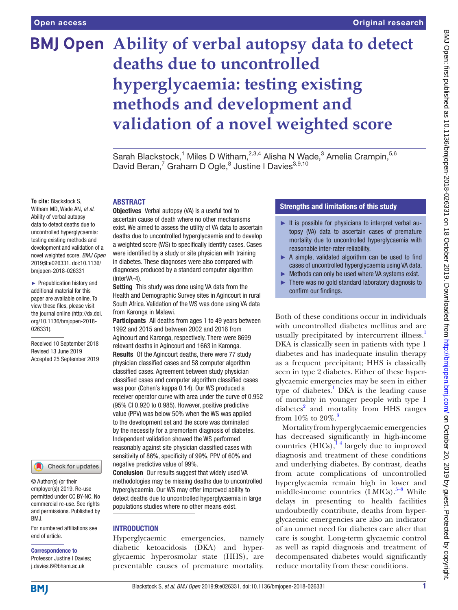# **BMJ Open** Ability of verbal autopsy data to detect **deaths due to uncontrolled hyperglycaemia: testing existing methods and development and validation of a novel weighted score**

Sarah Blackstock,<sup>1</sup> Miles D Witham,<sup>2,3,4</sup> Alisha N Wade,<sup>3</sup> Amelia Crampin,<sup>5,6</sup> David Beran,<sup>7</sup> Graham D Ogle,<sup>8</sup> Justine I Davies<sup>3,9,10</sup>

#### **ABSTRACT**

**To cite:** Blackstock S, Witham MD, Wade AN, *et al*. Ability of verbal autopsy data to detect deaths due to uncontrolled hyperglycaemia: testing existing methods and development and validation of a novel weighted score. *BMJ Open* 2019;9:e026331. doi:10.1136/ bmjopen-2018-026331

► Prepublication history and additional material for this paper are available online. To view these files, please visit the journal online (http://dx.doi. org/10.1136/bmjopen-2018- 026331).

Received 10 September 2018 Revised 13 June 2019 Accepted 25 September 2019



© Author(s) (or their employer(s)) 2019. Re-use permitted under CC BY-NC. No commercial re-use. See rights and permissions. Published by BMJ.

For numbered affiliations see end of article.

#### Correspondence to

Professor Justine I Davies; j.davies.6@bham.ac.uk

Objectives Verbal autopsy (VA) is a useful tool to ascertain cause of death where no other mechanisms exist. We aimed to assess the utility of VA data to ascertain deaths due to uncontrolled hyperglycaemia and to develop a weighted score (WS) to specifically identify cases. Cases were identified by a study or site physician with training in diabetes. These diagnoses were also compared with diagnoses produced by a standard computer algorithm (InterVA-4).

Setting This study was done using VA data from the Health and Demographic Survey sites in Agincourt in rural South Africa. Validation of the WS was done using VA data from Karonga in Malawi.

Participants All deaths from ages 1 to 49 years between 1992 and 2015 and between 2002 and 2016 from Agincourt and Karonga, respectively. There were 8699 relevant deaths in Agincourt and 1663 in Karonga. Results Of the Agincourt deaths, there were 77 study physician classified cases and 58 computer algorithm classified cases. Agreement between study physician classified cases and computer algorithm classified cases was poor (Cohen's kappa 0.14). Our WS produced a receiver operator curve with area under the curve of 0.952 (95% CI 0.920 to 0.985). However, positive predictive value (PPV) was below 50% when the WS was applied to the development set and the score was dominated by the necessity for a premortem diagnosis of diabetes. Independent validation showed the WS performed reasonably against site physician classified cases with sensitivity of 86%, specificity of 99%, PPV of 60% and negative predictive value of 99%.

Conclusion Our results suggest that widely used VA methodologies may be missing deaths due to uncontrolled hyperglycaemia. Our WS may offer improved ability to detect deaths due to uncontrolled hyperglycaemia in large populations studies where no other means exist.

#### **INTRODUCTION**

Hyperglycaemic emergencies, namely diabetic ketoacidosis (DKA) and hyperglycaemic hyperosmolar state (HHS), are preventable causes of premature mortality.

# Strengths and limitations of this study

- $\blacktriangleright$  It is possible for physicians to interpret verbal autopsy (VA) data to ascertain cases of premature mortality due to uncontrolled hyperglycaemia with reasonable inter-rater reliability.
- ► A simple, validated algorithm can be used to find cases of uncontrolled hyperglycaemia using VA data.
- ► Methods can only be used where VA systems exist.
- ► There was no gold standard laboratory diagnosis to confirm our findings.

Both of these conditions occur in individuals with uncontrolled diabetes mellitus and are usually precipitated by intercurrent illness.<sup>1</sup> DKA is classically seen in patients with type 1 diabetes and has inadequate insulin therapy as a frequent precipitant; HHS is classically seen in type 2 diabetes. Either of these hyperglycaemic emergencies may be seen in either type of diabetes.<sup>[1](#page-7-0)</sup> DKA is the leading cause of mortality in younger people with type 1 diabetes<sup>2</sup> and mortality from HHS ranges from 10% to  $20\%$ .<sup>[3](#page-7-2)</sup>

Mortality from hyperglycaemic emergencies has decreased significantly in high-income countries  $(HICs)$ ,  $14$  largely due to improved diagnosis and treatment of these conditions and underlying diabetes. By contrast, deaths from acute complications of uncontrolled hyperglycaemia remain high in lower and middle-income countries  $(LMICs)$ .<sup>5–8</sup> While delays in presenting to health facilities undoubtedly contribute, deaths from hyperglycaemic emergencies are also an indicator of an unmet need for diabetes care after that care is sought. Long-term glycaemic control as well as rapid diagnosis and treatment of decompensated diabetes would significantly reduce mortality from these conditions.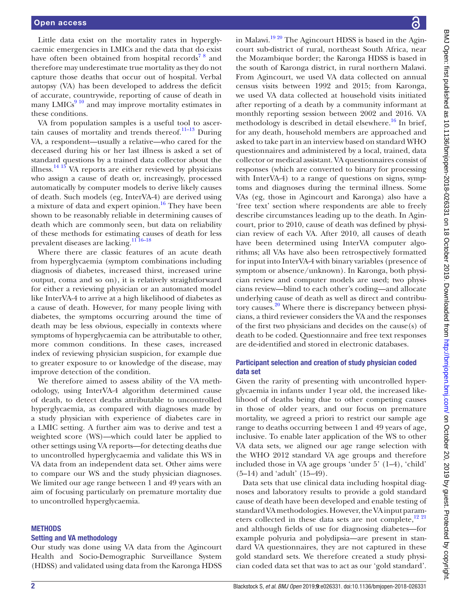Little data exist on the mortality rates in hyperglycaemic emergencies in LMICs and the data that do exist have often been obtained from hospital records<sup>78</sup> and therefore may underestimate true mortality as they do not capture those deaths that occur out of hospital. Verbal autopsy (VA) has been developed to address the deficit of accurate, countrywide, reporting of cause of death in many  $LMICs<sup>9 10</sup>$  $LMICs<sup>9 10</sup>$  $LMICs<sup>9 10</sup>$  and may improve mortality estimates in these conditions.

VA from population samples is a useful tool to ascertain causes of mortality and trends thereof. $11-13$  During VA, a respondent—usually a relative—who cared for the deceased during his or her last illness is asked a set of standard questions by a trained data collector about the illness. $14 \frac{15}{6}$  VA reports are either reviewed by physicians who assign a cause of death or, increasingly, processed automatically by computer models to derive likely causes of death. Such models (eg, InterVA-4) are derived using a mixture of data and expert opinion.<sup>16</sup> They have been shown to be reasonably reliable in determining causes of death which are commonly seen, but data on reliability of these methods for estimating causes of death for less prevalent diseases are lacking.<sup>1176-18</sup>

Where there are classic features of an acute death from hyperglycaemia (symptom combinations including diagnosis of diabetes, increased thirst, increased urine output, coma and so on), it is relatively straightforward for either a reviewing physician or an automated model like InterVA-4 to arrive at a high likelihood of diabetes as a cause of death. However, for many people living with diabetes, the symptoms occurring around the time of death may be less obvious, especially in contexts where symptoms of hyperglycaemia can be attributable to other, more common conditions. In these cases, increased index of reviewing physician suspicion, for example due to greater exposure to or knowledge of the disease, may improve detection of the condition.

We therefore aimed to assess ability of the VA methodology, using InterVA-4 algorithm determined cause of death, to detect deaths attributable to uncontrolled hyperglycaemia, as compared with diagnoses made by a study physician with experience of diabetes care in a LMIC setting. A further aim was to derive and test a weighted score (WS)—which could later be applied to other settings using VA reports—for detecting deaths due to uncontrolled hyperglycaemia and validate this WS in VA data from an independent data set. Other aims were to compare our WS and the study physician diagnoses. We limited our age range between 1 and 49 years with an aim of focusing particularly on premature mortality due to uncontrolled hyperglycaemia.

## **METHODS**

## Setting and VA methodology

Our study was done using VA data from the Agincourt Health and Socio-Demographic Surveillance System (HDSS) and validated using data from the Karonga HDSS in Malawi.[19 20](#page-7-9) The Agincourt HDSS is based in the Agincourt sub-district of rural, northeast South Africa, near the Mozambique border; the Karonga HDSS is based in the south of Karonga district, in rural northern Malawi. From Agincourt, we used VA data collected on annual census visits between 1992 and 2015; from Karonga, we used VA data collected at household visits initiated after reporting of a death by a community informant at monthly reporting session between 2002 and 2016. VA methodology is described in detail elsewhere.<sup>[16](#page-7-8)</sup> In brief, for any death, household members are approached and asked to take part in an interview based on standard WHO questionnaires and administered by a local, trained, data collector or medical assistant. VA questionnaires consist of responses (which are converted to binary for processing with InterVA-4) to a range of questions on signs, symptoms and diagnoses during the terminal illness. Some VAs (eg, those in Agincourt and Karonga) also have a 'free text' section where respondents are able to freely describe circumstances leading up to the death. In Agincourt, prior to 2010, cause of death was defined by physician review of each VA. After 2010, all causes of death have been determined using InterVA computer algorithms; all VAs have also been retrospectively formatted for input into InterVA-4 with binary variables (presence of symptom or absence/unknown). In Karonga, both physician review and computer models are used; two physicians review—blind to each other's coding—and allocate underlying cause of death as well as direct and contributory causes.<sup>20</sup> Where there is discrepancy between physicians, a third reviewer considers the VA and the responses of the first two physicians and decides on the cause(s) of death to be coded. Questionnaire and free text responses are de-identified and stored in electronic databases.

# Participant selection and creation of study physician coded data set

Given the rarity of presenting with uncontrolled hyperglycaemia in infants under 1year old, the increased likelihood of deaths being due to other competing causes in those of older years, and our focus on premature mortality, we agreed a priori to restrict our sample age range to deaths occurring between 1 and 49 years of age, inclusive. To enable later application of the WS to other VA data sets, we aligned our age range selection with the WHO 2012 standard VA age groups and therefore included those in VA age groups 'under 5' (1–4), 'child' (5–14) and 'adult' (15–49).

Data sets that use clinical data including hospital diagnoses and laboratory results to provide a gold standard cause of death have been developed and enable testing of standard VA methodologies. However, the VA input param-eters collected in these data sets are not complete,<sup>[12 21](#page-7-11)</sup> and although fields of use for diagnosing diabetes—for example polyuria and polydipsia—are present in standard VA questionnaires, they are not captured in these gold standard sets. We therefore created a study physician coded data set that was to act as our 'gold standard'.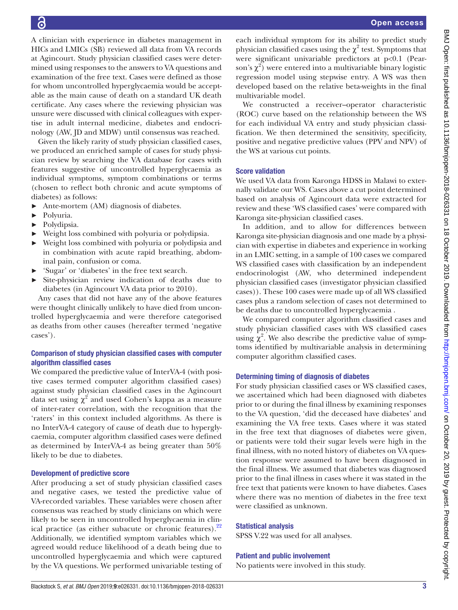A clinician with experience in diabetes management in HICs and LMICs (SB) reviewed all data from VA records at Agincourt. Study physician classified cases were determined using responses to the answers to VA questions and examination of the free text. Cases were defined as those for whom uncontrolled hyperglycaemia would be acceptable as the main cause of death on a standard UK death certificate. Any cases where the reviewing physician was unsure were discussed with clinical colleagues with expertise in adult internal medicine, diabetes and endocrinology (AW, JD and MDW) until consensus was reached.

Given the likely rarity of study physician classified cases, we produced an enriched sample of cases for study physician review by searching the VA database for cases with features suggestive of uncontrolled hyperglycaemia as individual symptoms, symptom combinations or terms (chosen to reflect both chronic and acute symptoms of diabetes) as follows:

- ► Ante-mortem (AM) diagnosis of diabetes.
- ► Polyuria.
- ► Polydipsia.
- ► Weight loss combined with polyuria or polydipsia.
- Weight loss combined with polyuria or polydipsia and in combination with acute rapid breathing, abdominal pain, confusion or coma.
- ► 'Sugar' or 'diabetes' in the free text search.
- ► Site-physician review indication of deaths due to diabetes (in Agincourt VA data prior to 2010).

Any cases that did not have any of the above features were thought clinically unlikely to have died from uncontrolled hyperglycaemia and were therefore categorised as deaths from other causes (hereafter termed 'negative cases').

# Comparison of study physician classified cases with computer algorithm classified cases

We compared the predictive value of InterVA-4 (with positive cases termed computer algorithm classified cases) against study physician classified cases in the Agincourt data set using  $\chi^2$  and used Cohen's kappa as a measure of inter-rater correlation, with the recognition that the 'raters' in this context included algorithms. As there is no InterVA-4 category of cause of death due to hyperglycaemia, computer algorithm classified cases were defined as determined by InterVA-4 as being greater than 50% likely to be due to diabetes.

## Development of predictive score

After producing a set of study physician classified cases and negative cases, we tested the predictive value of VA-recorded variables. These variables were chosen after consensus was reached by study clinicians on which were likely to be seen in uncontrolled hyperglycaemia in clinical practice (as either subacute or chronic features). $2^2$ Additionally, we identified symptom variables which we agreed would reduce likelihood of a death being due to uncontrolled hyperglycaemia and which were captured by the VA questions. We performed univariable testing of

each individual symptom for its ability to predict study physician classified cases using the  $\chi^2$  test. Symptoms that were significant univariable predictors at p<0.1 (Pearson's  $\chi^2$ ) were entered into a multivariable binary logistic regression model using stepwise entry. A WS was then developed based on the relative beta-weights in the final multivariable model.

We constructed a receiver–operator characteristic (ROC) curve based on the relationship between the WS for each individual VA entry and study physician classification. We then determined the sensitivity, specificity, positive and negative predictive values (PPV and NPV) of the WS at various cut points.

## Score validation

We used VA data from Karonga HDSS in Malawi to externally validate our WS. Cases above a cut point determined based on analysis of Agincourt data were extracted for review and these 'WS classified cases' were compared with Karonga site-physician classified cases.

In addition, and to allow for differences between Karonga site-physician diagnosis and one made by a physician with expertise in diabetes and experience in working in an LMIC setting, in a sample of 100 cases we compared WS classified cases with classification by an independent endocrinologist (AW, who determined independent physician classified cases (investigator physician classified cases)). These 100 cases were made up of all WS classified cases plus a random selection of cases not determined to be deaths due to uncontrolled hyperglycaemia .

We compared computer algorithm classified cases and study physician classified cases with WS classified cases using  $\chi^2$ . We also describe the predictive value of symptoms identified by multivariable analysis in determining computer algorithm classified cases.

#### Determining timing of diagnosis of diabetes

For study physician classified cases or WS classified cases, we ascertained which had been diagnosed with diabetes prior to or during the final illness by examining responses to the VA question, 'did the deceased have diabetes' and examining the VA free texts. Cases where it was stated in the free text that diagnoses of diabetes were given, or patients were told their sugar levels were high in the final illness, with no noted history of diabetes on VA question response were assumed to have been diagnosed in the final illness. We assumed that diabetes was diagnosed prior to the final illness in cases where it was stated in the free text that patients were known to have diabetes. Cases where there was no mention of diabetes in the free text were classified as unknown.

#### Statistical analysis

SPSS V.22 was used for all analyses.

#### Patient and public involvement

No patients were involved in this study.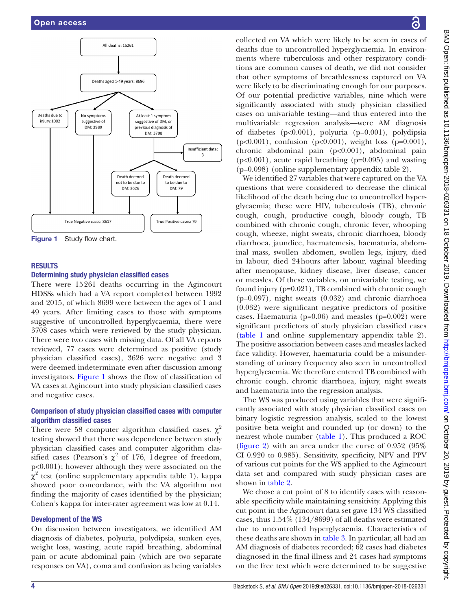

## <span id="page-3-0"></span>**RESULTS**

## Determining study physician classified cases

There were 15261 deaths occurring in the Agincourt HDSSs which had a VA report completed between 1992 and 2015, of which 8699 were between the ages of 1 and 49 years. After limiting cases to those with symptoms suggestive of uncontrolled hyperglycaemia, there were 3708 cases which were reviewed by the study physician. There were two cases with missing data. Of all VA reports reviewed, 77 cases were determined as positive (study physician classified cases), 3626 were negative and 3 were deemed indeterminate even after discussion among investigators. [Figure](#page-3-0) 1 shows the flow of classification of VA cases at Agincourt into study physician classified cases and negative cases.

# Comparison of study physician classified cases with computer algorithm classified cases

There were 58 computer algorithm classified cases.  $\chi^2$ testing showed that there was dependence between study physician classified cases and computer algorithm classified cases (Pearson's  $\chi^2$  of 176, 1 degree of freedom, p<0.001); however although they were associated on the  $\chi^2$  test [\(online supplementary appendix table 1](https://dx.doi.org/10.1136/bmjopen-2018-026331)), kappa showed poor concordance, with the VA algorithm not finding the majority of cases identified by the physician; Cohen's kappa for inter-rater agreement was low at 0.14.

## Development of the WS

On discussion between investigators, we identified AM diagnosis of diabetes, polyuria, polydipsia, sunken eyes, weight loss, wasting, acute rapid breathing, abdominal pain or acute abdominal pain (which are two separate responses on VA), coma and confusion as being variables

collected on VA which were likely to be seen in cases of deaths due to uncontrolled hyperglycaemia. In environments where tuberculosis and other respiratory conditions are common causes of death, we did not consider that other symptoms of breathlessness captured on VA were likely to be discriminating enough for our purposes. Of our potential predictive variables, nine which were significantly associated with study physician classified cases on univariable testing—and thus entered into the multivariable regression analysis—were AM diagnosis of diabetes (p<0.001), polyuria (p=0.001), polydipsia (p<0.001), confusion (p<0.001), weight loss (p=0.001), chronic abdominal pain (p<0.001), abdominal pain  $(p<0.001)$ , acute rapid breathing  $(p=0.095)$  and wasting (p=0.098) [\(online supplementary appendix table 2](https://dx.doi.org/10.1136/bmjopen-2018-026331)).

We identified 27 variables that were captured on the VA questions that were considered to decrease the clinical likelihood of the death being due to uncontrolled hyperglycaemia; these were HIV, tuberculosis (TB), chronic cough, cough, productive cough, bloody cough, TB combined with chronic cough, chronic fever, whooping cough, wheeze, night sweats, chronic diarrhoea, bloody diarrhoea, jaundice, haematemesis, haematuria, abdominal mass, swollen abdomen, swollen legs, injury, died in labour, died 24hours after labour, vaginal bleeding after menopause, kidney disease, liver disease, cancer or measles. Of these variables, on univariable testing, we found injury (p=0.021), TB combined with chronic cough  $(p=0.097)$ , night sweats  $(0.032)$  and chronic diarrhoea (0.032) were significant negative predictors of positive cases. Haematuria ( $p=0.06$ ) and measles ( $p=0.002$ ) were significant predictors of study physician classified cases [\(table](#page-4-0) 1 and [online supplementary appendix table 2\)](https://dx.doi.org/10.1136/bmjopen-2018-026331). The positive association between cases and measles lacked face validity. However, haematuria could be a misunderstanding of urinary frequency also seen in uncontrolled hyperglycaemia. We therefore entered TB combined with chronic cough, chronic diarrhoea, injury, night sweats and haematuria into the regression analysis.

The WS was produced using variables that were significantly associated with study physician classified cases on binary logistic regression analysis, scaled to the lowest positive beta weight and rounded up (or down) to the nearest whole number ([table](#page-4-0) 1). This produced a ROC [\(figure](#page-4-1) 2) with an area under the curve of 0.952 (95% CI 0.920 to 0.985). Sensitivity, specificity, NPV and PPV of various cut points for the WS applied to the Agincourt data set and compared with study physician cases are shown in [table](#page-5-0) 2.

We chose a cut point of 8 to identify cases with reasonable specificity while maintaining sensitivity. Applying this cut point in the Agincourt data set gave 134 WS classified cases, thus 1.54% (134/8699) of all deaths were estimated due to uncontrolled hyperglycaemia. Characteristics of these deaths are shown in [table](#page-5-1) 3. In particular, all had an AM diagnosis of diabetes recorded; 62 cases had diabetes diagnosed in the final illness and 24 cases had symptoms on the free text which were determined to be suggestive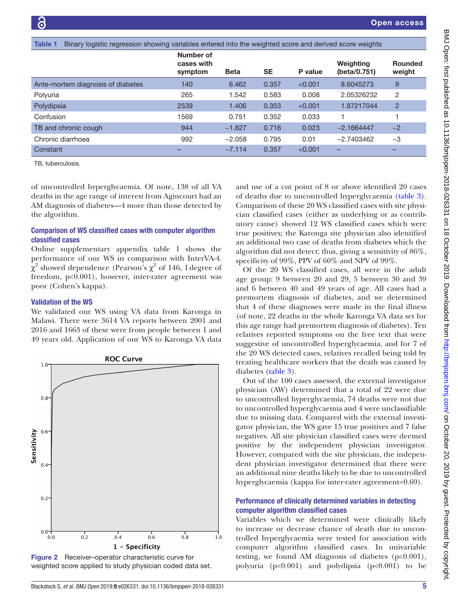<span id="page-4-0"></span>

| Binary logistic regression showing variables entered into the weighted score and derived score weights<br><b>Table 1</b> |                                    |          |           |         |                           |                          |
|--------------------------------------------------------------------------------------------------------------------------|------------------------------------|----------|-----------|---------|---------------------------|--------------------------|
|                                                                                                                          | Number of<br>cases with<br>symptom | Beta     | <b>SE</b> | P value | Weighting<br>(beta/0.751) | <b>Rounded</b><br>weight |
| Ante-mortem diagnosis of diabetes                                                                                        | 140                                | 6.462    | 0.357     | < 0.001 | 8.6045273                 | 9                        |
| Polyuria                                                                                                                 | 265                                | 1.542    | 0.583     | 0.008   | 2.05326232                | $\overline{2}$           |
| Polydipsia                                                                                                               | 2539                               | 1.406    | 0.353     | < 0.001 | 1.87217044                | $\overline{2}$           |
| Confusion                                                                                                                | 1569                               | 0.751    | 0.352     | 0.033   |                           |                          |
| TB and chronic cough                                                                                                     | 944                                | $-1.627$ | 0.716     | 0.023   | $-2.1664447$              | $-2$                     |
| Chronic diarrhoea                                                                                                        | 992                                | $-2.058$ | 0.795     | 0.01    | $-2.7403462$              | $-3$                     |
| Constant                                                                                                                 |                                    | $-7.114$ | 0.357     | < 0.001 | -                         |                          |
| TB, tuberculosis.                                                                                                        |                                    |          |           |         |                           |                          |

of uncontrolled hyperglycaemia. Of note, 138 of all VA deaths in the age range of interest from Agincourt had an AM diagnosis of diabetes—4 more than those detected by the algorithm.

# Comparison of WS classified cases with computer algorithm classified cases

[Online supplementary appendix table 1](https://dx.doi.org/10.1136/bmjopen-2018-026331) shows the performance of our WS in comparison with InterVA-4.  $\chi^2$  showed dependence (Pearson's  $\chi^2$  of 146, 1 degree of freedom, p<0.001), however, inter-rater agreement was poor (Cohen's kappa).

# Validation of the WS

We validated our WS using VA data from Karonga in Malawi. There were 3614 VA reports between 2001 and 2016 and 1663 of these were from people between 1 and 49 years old. Application of our WS to Karonga VA data



<span id="page-4-1"></span>Figure 2 Receiver–operator characteristic curve for weighted score applied to study physician coded data set.

and use of a cut point of 8 or above identified 20 cases of deaths due to uncontrolled hyperglycaemia ([table](#page-5-1) 3). Comparison of these 20 WS classified cases with site physician classified cases (either as underlying or as contributory cause) showed 12 WS classified cases which were true positives; the Karonga site physician also identified an additional two case of deaths from diabetes which the algorithm did not detect; thus, giving a sensitivity of 86%, specificity of 99%, PPV of 60% and NPV of 99%.

Of the 20 WS classified cases, all were in the adult age group: 9 between 20 and 29, 5 between 30 and 39 and 6 between 40 and 49 years of age. All cases had a premortem diagnosis of diabetes, and we determined that 4 of these diagnoses were made in the final illness (of note, 22 deaths in the whole Karonga VA data set for this age range had premortem diagnosis of diabetes). Ten relatives reported symptoms on the free text that were suggestive of uncontrolled hyperglycaemia, and for 7 of the 20 WS detected cases, relatives recalled being told by treating healthcare workers that the death was caused by diabetes ([table](#page-5-1) 3).

Out of the 100 cases assessed, the external investigator physician (AW) determined that a total of 22 were due to uncontrolled hyperglycaemia, 74 deaths were not due to uncontrolled hyperglycaemia and 4 were unclassifiable due to missing data. Compared with the external investigator physician, the WS gave 15 true positives and 7 false negatives. All site physician classified cases were deemed positive by the independent physician investigator. However, compared with the site physician, the independent physician investigator determined that there were an additional nine deaths likely to be due to uncontrolled hyperglycaemia (kappa for inter-rater agreement=0.69).

# Performance of clinically determined variables in detecting computer algorithm classified cases

Variables which we determined were clinically likely to increase or decrease chance of death due to uncontrolled hyperglycaemia were tested for association with computer algorithm classified cases. In univariable testing, we found AM diagnosis of diabetes  $(p<0.001)$ , polyuria  $(p<0.001)$  and polydipsia  $(p<0.001)$  to be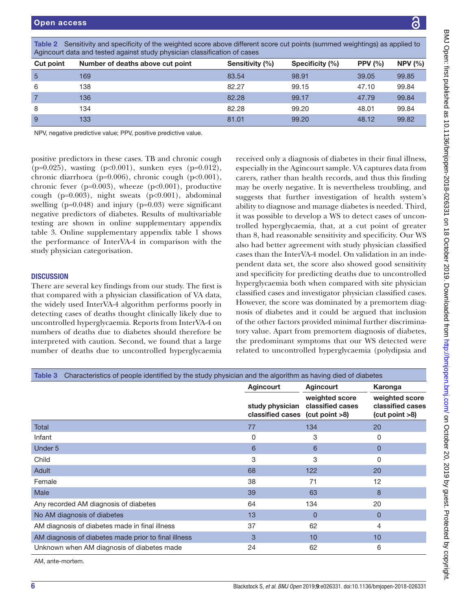| ed to             |                                |
|-------------------|--------------------------------|
|                   |                                |
| V (%)             |                                |
| 85                |                                |
| 84                |                                |
| 84                | I                              |
| 84                |                                |
| 82                |                                |
|                   |                                |
|                   |                                |
|                   |                                |
| llness,<br>a from |                                |
| nding             |                                |
| g, and            |                                |
| stem's            |                                |
| Third,            |                                |
| ncon-             |                                |
| reater            |                                |
| ur WS<br>ssified  |                                |
| inde-             |                                |
| sitivity          |                                |
| rolled            |                                |
| sician            |                                |
| cases.            |                                |
| diag-<br>lusion   |                                |
| imina-            |                                |
| betes,            |                                |
| l were            |                                |
| a and             |                                |
|                   |                                |
|                   |                                |
|                   |                                |
|                   |                                |
|                   |                                |
|                   |                                |
|                   |                                |
|                   |                                |
|                   |                                |
|                   |                                |
|                   |                                |
|                   |                                |
|                   | n/on October 20, 2019 by guest |
|                   |                                |
|                   |                                |
|                   | rected by                      |
|                   |                                |
|                   |                                |
|                   |                                |
|                   |                                |

| Agincourt data and tested against study physician classification of cases |                                  |                 |                 |           |        |  |
|---------------------------------------------------------------------------|----------------------------------|-----------------|-----------------|-----------|--------|--|
| <b>Cut point</b>                                                          | Number of deaths above cut point | Sensitivity (%) | Specificity (%) | PPV $(%)$ | NPV(%) |  |
| -5                                                                        | 169                              | 83.54           | 98.91           | 39.05     | 99.85  |  |
| 6                                                                         | 138                              | 82.27           | 99.15           | 47.10     | 99.84  |  |
|                                                                           | 136                              | 82.28           | 99.17           | 47.79     | 99.84  |  |
| 8                                                                         | 134                              | 82.28           | 99.20           | 48.01     | 99.84  |  |
| 9                                                                         | 133                              | 81.01           | 99.20           | 48.12     | 99.82  |  |

<span id="page-5-0"></span>Table 2 Sensitivity and specificity of the weighted score above different score cut points (summed weightings) as applied to the weight

NPV, negative predictive value; PPV, positive predictive value.

positive predictors in these cases. TB and chronic cough (p=0.025), wasting (p<0.001), sunken eyes (p=0.012), chronic diarrhoea (p=0.006), chronic cough (p<0.001), chronic fever ( $p=0.003$ ), wheeze ( $p<0.001$ ), productive cough ( $p=0.003$ ), night sweats ( $p<0.001$ ), abdominal swelling ( $p=0.048$ ) and injury ( $p=0.03$ ) were significant negative predictors of diabetes. Results of multivariable testing are shown in [online supplementary appendix](https://dx.doi.org/10.1136/bmjopen-2018-026331) [table 3](https://dx.doi.org/10.1136/bmjopen-2018-026331). [Online supplementary appendix table 1](https://dx.doi.org/10.1136/bmjopen-2018-026331) shows the performance of InterVA-4 in comparison with the study physician categorisation.

## **DISCUSSION**

There are several key findings from our study. The first is that compared with a physician classification of VA data, the widely used InterVA-4 algorithm performs poorly in detecting cases of deaths thought clinically likely due to uncontrolled hyperglycaemia. Reports from InterVA-4 on numbers of deaths due to diabetes should therefore be interpreted with caution. Second, we found that a large number of deaths due to uncontrolled hyperglycaemia received only a diagnosis of diabetes in their final il especially in the Agincourt sample. VA captures data carers, rather than health records, and thus this fi may be overly negative. It is nevertheless troubling suggests that further investigation of health system ability to diagnose and manage diabetes is needed. it was possible to develop a WS to detect cases of u trolled hyperglycaemia, that, at a cut point of  $g$ than 8, had reasonable sensitivity and specificity.  $O$ also had better agreement with study physician class cases than the InterVA-4 model. On validation in an pendent data set, the score also showed good sens and specificity for predicting deaths due to uncontrolled hyperglycaemia both when compared with site phy classified cases and investigator physician classified However, the score was dominated by a premortem nosis of diabetes and it could be argued that incl of the other factors provided minimal further discri tory value. Apart from premortem diagnosis of dia the predominant symptoms that our WS detected related to uncontrolled hyperglycaemia (polydipsi

<span id="page-5-1"></span>

| Characteristics of people identified by the study physician and the algorithm as having died of diabetes<br>Table 3 |                                                    |                                    |                                                      |  |
|---------------------------------------------------------------------------------------------------------------------|----------------------------------------------------|------------------------------------|------------------------------------------------------|--|
|                                                                                                                     | <b>Agincourt</b>                                   | <b>Agincourt</b>                   | Karonga                                              |  |
|                                                                                                                     | study physician<br>classified cases (cut point >8) | weighted score<br>classified cases | weighted score<br>classified cases<br>(cut point >8) |  |
| Total                                                                                                               | 77                                                 | 134                                | 20                                                   |  |
| Infant                                                                                                              | 0                                                  | 3                                  | 0                                                    |  |
| Under 5                                                                                                             | 6                                                  | 6                                  | 0                                                    |  |
| Child                                                                                                               | 3                                                  | 3                                  | 0                                                    |  |
| Adult                                                                                                               | 68                                                 | 122                                | 20                                                   |  |
| Female                                                                                                              | 38                                                 | 71                                 | 12                                                   |  |
| Male                                                                                                                | 39                                                 | 63                                 | 8                                                    |  |
| Any recorded AM diagnosis of diabetes                                                                               | 64                                                 | 134                                | 20                                                   |  |
| No AM diagnosis of diabetes                                                                                         | 13                                                 | 0                                  | $\Omega$                                             |  |
| AM diagnosis of diabetes made in final illness                                                                      | 37                                                 | 62                                 | 4                                                    |  |
| AM diagnosis of diabetes made prior to final illness                                                                | 3                                                  | 10                                 | 10                                                   |  |
| Unknown when AM diagnosis of diabetes made                                                                          | 24                                                 | 62                                 | 6                                                    |  |
| AM, ante-mortem.                                                                                                    |                                                    |                                    |                                                      |  |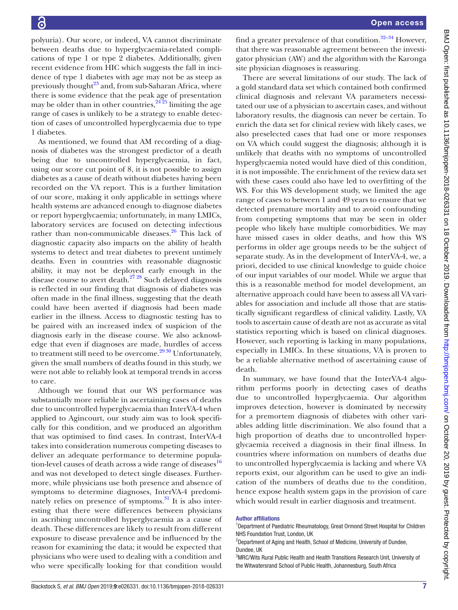polyuria). Our score, or indeed, VA cannot discriminate between deaths due to hyperglycaemia-related complications of type 1 or type 2 diabetes. Additionally, given recent evidence from HIC which suggests the fall in incidence of type 1 diabetes with age may not be as steep as previously thought<sup>[23](#page-7-13)</sup> and, from sub-Saharan Africa, where there is some evidence that the peak age of presentation may be older than in other countries,  $24\frac{24}{25}$  limiting the age range of cases is unlikely to be a strategy to enable detection of cases of uncontrolled hyperglycaemia due to type 1 diabetes.

As mentioned, we found that AM recording of a diagnosis of diabetes was the strongest predictor of a death being due to uncontrolled hyperglycaemia, in fact, using our score cut point of 8, it is not possible to assign diabetes as a cause of death without diabetes having been recorded on the VA report. This is a further limitation of our score, making it only applicable in settings where health systems are advanced enough to diagnose diabetes or report hyperglycaemia; unfortunately, in many LMICs, laboratory services are focused on detecting infectious rather than non-communicable diseases. $26$  This lack of diagnostic capacity also impacts on the ability of health systems to detect and treat diabetes to prevent untimely deaths. Even in countries with reasonable diagnostic ability, it may not be deployed early enough in the disease course to avert death.[27 28](#page-7-16) Such delayed diagnosis is reflected in our finding that diagnosis of diabetes was often made in the final illness, suggesting that the death could have been averted if diagnosis had been made earlier in the illness. Access to diagnostic testing has to be paired with an increased index of suspicion of the diagnosis early in the disease course. We also acknowledge that even if diagnoses are made, hurdles of access to treatment still need to be overcome.<sup>2930</sup> Unfortunately, given the small numbers of deaths found in this study, we were not able to reliably look at temporal trends in access to care.

Although we found that our WS performance was substantially more reliable in ascertaining cases of deaths due to uncontrolled hyperglycaemia than InterVA-4 when applied to Agincourt, our study aim was to look specifically for this condition, and we produced an algorithm that was optimised to find cases. In contrast, InterVA-4 takes into consideration numerous competing diseases to deliver an adequate performance to determine population-level causes of death across a wide range of diseases $^{16}$ and was not developed to detect single diseases. Furthermore, while physicians use both presence and absence of symptoms to determine diagnoses, InterVA-4 predomi-nately relies on presence of symptoms.<sup>[31](#page-7-18)</sup> It is also interesting that there were differences between physicians in ascribing uncontrolled hyperglycaemia as a cause of death. These differences are likely to result from different exposure to disease prevalence and be influenced by the reason for examining the data; it would be expected that physicians who were used to dealing with a condition and who were specifically looking for that condition would

find a greater prevalence of that condition.<sup>32–34</sup> However, that there was reasonable agreement between the investigator physician (AW) and the algorithm with the Karonga site physician diagnoses is reassuring.

There are several limitations of our study. The lack of a gold standard data set which contained both confirmed clinical diagnosis and relevant VA parameters necessitated our use of a physician to ascertain cases, and without laboratory results, the diagnosis can never be certain. To enrich the data set for clinical review with likely cases, we also preselected cases that had one or more responses on VA which could suggest the diagnosis; although it is unlikely that deaths with no symptoms of uncontrolled hyperglycaemia noted would have died of this condition, it is not impossible. The enrichment of the review data set with these cases could also have led to overfitting of the WS. For this WS development study, we limited the age range of cases to between 1 and 49 years to ensure that we detected premature mortality and to avoid confounding from competing symptoms that may be seen in older people who likely have multiple comorbidities. We may have missed cases in older deaths, and how this WS performs in older age groups needs to be the subject of separate study. As in the development of InterVA-4, we, a priori, decided to use clinical knowledge to guide choice of our input variables of our model. While we argue that this is a reasonable method for model development, an alternative approach could have been to assess all VA variables for association and include all those that are statistically significant regardless of clinical validity. Lastly, VA tools to ascertain cause of death are not as accurate as vital statistics reporting which is based on clinical diagnoses. However, such reporting is lacking in many populations, especially in LMICs. In these situations, VA is proven to be a reliable alternative method of ascertaining cause of death.

In summary, we have found that the InterVA-4 algorithm performs poorly in detecting cases of deaths due to uncontrolled hyperglycaemia. Our algorithm improves detection, however is dominated by necessity for a premortem diagnosis of diabetes with other variables adding little discrimination. We also found that a high proportion of deaths due to uncontrolled hyperglycaemia received a diagnosis in their final illness. In countries where information on numbers of deaths due to uncontrolled hyperglycaemia is lacking and where VA reports exist, our algorithm can be used to give an indication of the numbers of deaths due to the condition, hence expose health system gaps in the provision of care which would result in earlier diagnosis and treatment.

#### Author affiliations

<sup>1</sup>Department of Paediatric Rheumatology, Great Ormond Street Hospital for Children NHS Foundation Trust, London, UK

<sup>2</sup>Department of Aging and Health, School of Medicine, University of Dundee, Dundee, UK

<sup>3</sup>MRC/Wits Rural Public Health and Health Transitions Research Unit, University of the Witwatersrand School of Public Health, Johannesburg, South Africa